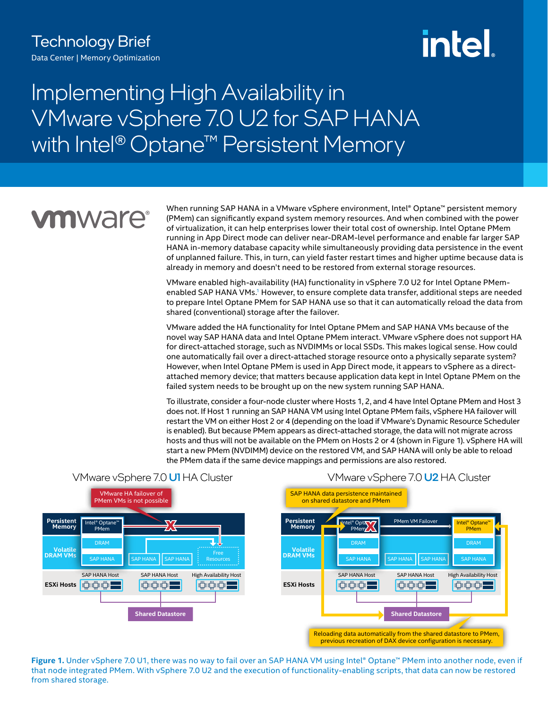# intel.

## Implementing High Availability in VMware vSphere 7.0 U2 for SAP HANA with Intel® Optane<sup>™</sup> Persistent Memory

# **vmware®**

When running SAP HANA in a VMware vSphere environment, Intel® Optane™ persistent memory (PMem) can significantly expand system memory resources. And when combined with the power of virtualization, it can help enterprises lower their total cost of ownership. Intel Optane PMem running in App Direct mode can deliver near-DRAM-level performance and enable far larger SAP HANA in-memory database capacity while simultaneously providing data persistence in the event of unplanned failure. This, in turn, can yield faster restart times and higher uptime because data is already in memory and doesn't need to be restored from external storage resources.

VMware enabled high-availability (HA) functionality in vSphere 7.0 U2 for Intel Optane PMem-enabled SAP HANA VMs.<sup>[1](#page-2-0)</sup> However, to ensure complete data transfer, additional steps are needed to prepare Intel Optane PMem for SAP HANA use so that it can automatically reload the data from shared (conventional) storage after the failover.

VMware added the HA functionality for Intel Optane PMem and SAP HANA VMs because of the novel way SAP HANA data and Intel Optane PMem interact. VMware vSphere does not support HA for direct-attached storage, such as NVDIMMs or local SSDs. This makes logical sense. How could one automatically fail over a direct-attached storage resource onto a physically separate system? However, when Intel Optane PMem is used in App Direct mode, it appears to vSphere as a directattached memory device; that matters because application data kept in Intel Optane PMem on the failed system needs to be brought up on the new system running SAP HANA.

To illustrate, consider a four-node cluster where Hosts 1, 2, and 4 have Intel Optane PMem and Host 3 does not. If Host 1 running an SAP HANA VM using Intel Optane PMem fails, vSphere HA failover will restart the VM on either Host 2 or 4 (depending on the load if VMware's Dynamic Resource Scheduler is enabled). But because PMem appears as direct-attached storage, the data will not migrate across hosts and thus will not be available on the PMem on Hosts 2 or 4 (shown in Figure 1). vSphere HA will start a new PMem (NVDIMM) device on the restored VM, and SAP HANA will only be able to reload the PMem data if the same device mappings and permissions are also restored.



VMware vSphere 7.0 **U1** HA Cluster



**Figure 1.** Under vSphere 7.0 U1, there was no way to fail over an SAP HANA VM using Intel® Optane™ PMem into another node, even if that node integrated PMem. With vSphere 7.0 U2 and the execution of functionality-enabling scripts, that data can now be restored from shared storage.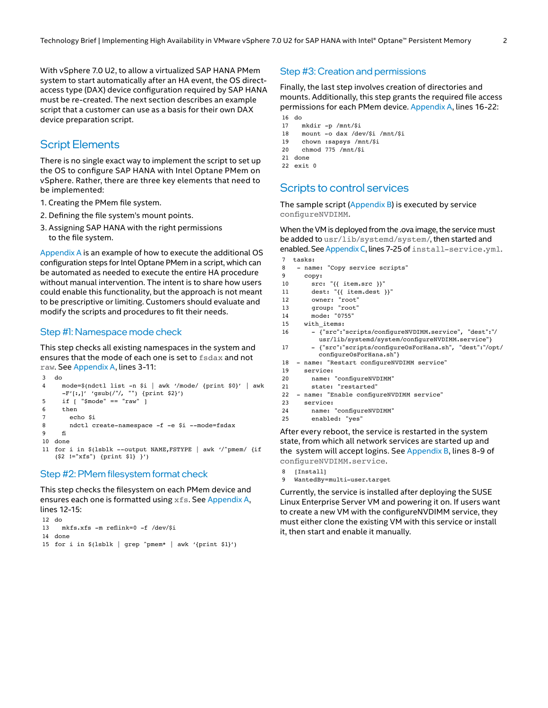With vSphere 7.0 U2, to allow a virtualized SAP HANA PMem system to start automatically after an HA event, the OS directaccess type (DAX) device configuration required by SAP HANA must be re-created. The next section describes an example script that a customer can use as a basis for their own DAX device preparation script.

#### Script Elements

There is no single exact way to implement the script to set up the OS to configure SAP HANA with Intel Optane PMem on vSphere. Rather, there are three key elements that need to be implemented:

- 1. Creating the PMem file system.
- 2. Defining the file system's mount points.
- 3. Assigning SAP HANA with the right permissions to the file system.

[Appendix A](#page-2-1) is an example of how to execute the additional OS configuration steps for Intel Optane PMem in a script, which can be automated as needed to execute the entire HA procedure without manual intervention. The intent is to share how users could enable this functionality, but the approach is not meant to be prescriptive or limiting. Customers should evaluate and modify the scripts and procedures to fit their needs.

#### Step #1: Namespace mode check

This step checks all existing namespaces in the system and ensures that the mode of each one is set to fsdax and not raw. See [Appendix A,](#page-2-1) lines 3-11:

```
3 do
4 mode=$(ndctl list -n $i | awk '/mode/ {print $0}' | awk 
     -F'[:,]' 'gsub(/"/, "") {print $2}')
5 if [ "$mode" == "raw" ]
6 then
7 echo $i
8 ndctl create-namespace -f -e $i --mode=fsdax
9	 fi
10 done
```
11 for i in \$(lsblk --output NAME,FSTYPE | awk '/^pmem/ {if (\$2 !="xfs") {print \$1} }')

#### Step #2: PMem filesystem format check

This step checks the filesystem on each PMem device and ensures each one is formatted using xfs. See [Appendix A](#page-2-1), lines 12-15:

```
12 do
13	 mkfs.xfs -m reflink=0 -f /dev/$i
14 done
```
15 for i in \$(lsblk | grep ^pmem\* | awk '{print \$1}')

#### Step #3: Creation and permissions

Finally, the last step involves creation of directories and mounts. Additionally, this step grants the required file access permissions for each PMem device. [Appendix A,](#page-2-1) lines 16-22: 16 do

```
17 mkdir -p /mnt/$i
```
- 18 mount -o dax /dev/\$i /mnt/\$i
- 19 chown :sapsys /mnt/\$i
- 20 chmod 775 /mnt/\$i
- 21 done
- 22 exit 0

### Scripts to control services

The sample script  $(Appendix B)$  is executed by service configureNVDIMM.

### When the VM is deployed from the .ova image, the service must

```
be added to usr/lib/systemd/system/, then started and 
enabled. See Appendix C, lines 7-25 of install-service.yml.
7 tasks:
```

| 8    | - name: "Copy service scripts"                                                                            |
|------|-----------------------------------------------------------------------------------------------------------|
| 9    | copy:                                                                                                     |
| 10   | $src: " {\{ item.src }\}'$                                                                                |
| 11   | dest: "{{ item.dest }}"                                                                                   |
| 12   | owner: "root"                                                                                             |
| 13   | group: "root"                                                                                             |
| 14   | mode: "0755"                                                                                              |
| 15   | with items:                                                                                               |
| 16   | - {"src":"scripts/configureNVDIMM.service", "dest":"/<br>usr/lib/systemd/system/configureNVDIMM.service"} |
| 17   | - {"src":"scripts/configure0sForHana.sh", "dest":"/opt/<br>configureOsForHana.sh"}                        |
| 18   | - name: "Restart configureNVDIMM service"                                                                 |
| 19   | service:                                                                                                  |
| 20   | name: "configureNVDIMM"                                                                                   |
| 21   | state: "restarted"                                                                                        |
| 22   | - name: "Enable configureNVDIMM service"                                                                  |
| 23   | service:                                                                                                  |
| 24   | name: "configureNVDIMM"                                                                                   |
| n El | الممعمال والمحامدة                                                                                        |

25 enabled: "yes

After every reboot, the service is restarted in the system state, from which all network services are started up and the system will accept logins. See [Appendix B](#page-2-2), lines 8-9 of configureNVDIMM.service.

```
8	 [Install]
```
9 WantedBy=multi-user.target

Currently, the service is installed after deploying the SUSE Linux Enterprise Server VM and powering it on. If users want to create a new VM with the configureNVDIMM service, they must either clone the existing VM with this service or install it, then start and enable it manually.